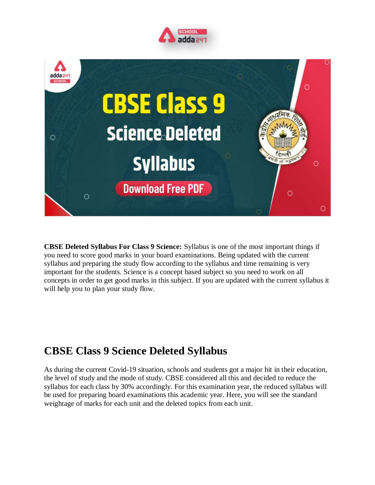



**CBSE Deleted Syllabus For Class 9 Science:** Syllabus is one of the most important things if you need to score good marks in your board examinations. Being updated with the current syllabus and preparing the study flow according to the syllabus and time remaining is very important for the students. Science is a concept based subject so you need to work on all concepts in order to get good marks in this subject. If you are updated with the current syllabus it will help you to plan your study flow.

# **CBSE Class 9 Science Deleted Syllabus**

As during the current Covid-19 situation, schools and students got a major hit in their education, the level of study and the mode of study. CBSE considered all this and decided to reduce the syllabus for each class by 30% accordingly. For this examination year, the reduced syllabus will be used for preparing board examinations this academic year. Here, you will see the standard weightage of marks for each unit and the deleted topics from each unit.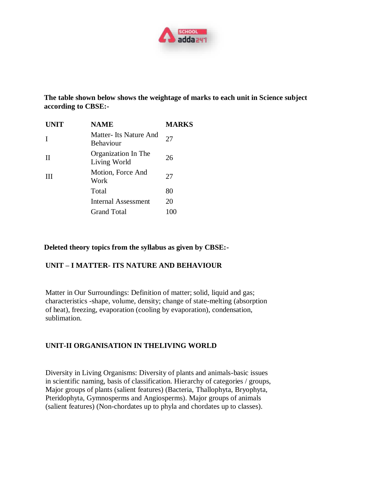

**The table shown below shows the weightage of marks to each unit in Science subject according to CBSE:-**

| <b>UNIT</b> | <b>NAME</b>                               | MARKS |
|-------------|-------------------------------------------|-------|
| I           | Matter-Its Nature And<br><b>Behaviour</b> | 27    |
| Н           | Organization In The<br>Living World       | 26    |
| Ш           | Motion, Force And<br>Work                 | 27    |
|             | Total                                     | 80    |
|             | <b>Internal Assessment</b>                | 20    |
|             | <b>Grand Total</b>                        |       |

#### **Deleted theory topics from the syllabus as given by CBSE:-**

#### **UNIT – I MATTER- ITS NATURE AND BEHAVIOUR**

Matter in Our Surroundings: Definition of matter; solid, liquid and gas; characteristics -shape, volume, density; change of state-melting (absorption of heat), freezing, evaporation (cooling by evaporation), condensation, sublimation.

#### **UNIT-II ORGANISATION IN THELIVING WORLD**

Diversity in Living Organisms: Diversity of plants and animals-basic issues in scientific naming, basis of classification. Hierarchy of categories / groups, Major groups of plants (salient features) (Bacteria, Thallophyta, Bryophyta, Pteridophyta, Gymnosperms and Angiosperms). Major groups of animals (salient features) (Non-chordates up to phyla and chordates up to classes).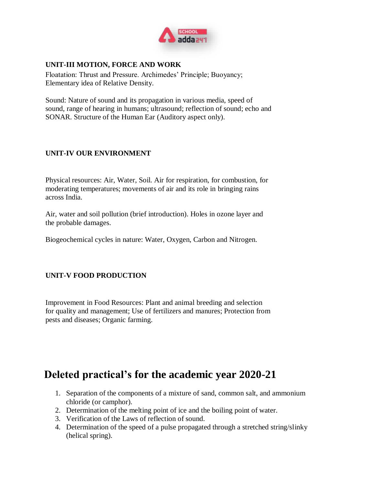

#### **UNIT-III MOTION, FORCE AND WORK**

Floatation: Thrust and Pressure. Archimedes' Principle; Buoyancy; Elementary idea of Relative Density.

Sound: Nature of sound and its propagation in various media, speed of sound, range of hearing in humans; ultrasound; reflection of sound; echo and SONAR. Structure of the Human Ear (Auditory aspect only).

### **UNIT-IV OUR ENVIRONMENT**

Physical resources: Air, Water, Soil. Air for respiration, for combustion, for moderating temperatures; movements of air and its role in bringing rains across India.

Air, water and soil pollution (brief introduction). Holes in ozone layer and the probable damages.

Biogeochemical cycles in nature: Water, Oxygen, Carbon and Nitrogen.

#### **UNIT-V FOOD PRODUCTION**

Improvement in Food Resources: Plant and animal breeding and selection for quality and management; Use of fertilizers and manures; Protection from pests and diseases; Organic farming.

## **Deleted practical's for the academic year 2020-21**

- 1. Separation of the components of a mixture of sand, common salt, and ammonium chloride (or camphor).
- 2. Determination of the melting point of ice and the boiling point of water.
- 3. Verification of the Laws of reflection of sound.
- 4. Determination of the speed of a pulse propagated through a stretched string/slinky (helical spring).